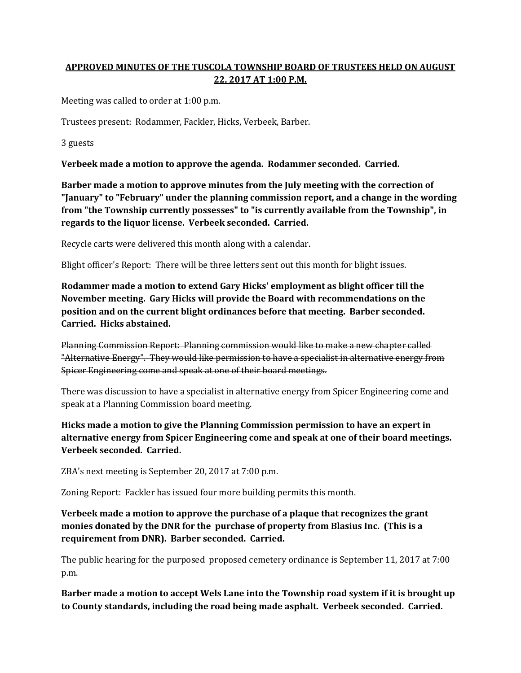## **APPROVED MINUTES OF THE TUSCOLA TOWNSHIP BOARD OF TRUSTEES HELD ON AUGUST 22, 2017 AT 1:00 P.M.**

Meeting was called to order at 1:00 p.m.

Trustees present: Rodammer, Fackler, Hicks, Verbeek, Barber.

3 guests

**Verbeek made a motion to approve the agenda. Rodammer seconded. Carried.**

**Barber made a motion to approve minutes from the July meeting with the correction of "January" to "February" under the planning commission report, and a change in the wording from "the Township currently possesses" to "is currently available from the Township", in regards to the liquor license. Verbeek seconded. Carried.**

Recycle carts were delivered this month along with a calendar.

Blight officer's Report: There will be three letters sent out this month for blight issues.

**Rodammer made a motion to extend Gary Hicks' employment as blight officer till the November meeting. Gary Hicks will provide the Board with recommendations on the position and on the current blight ordinances before that meeting. Barber seconded. Carried. Hicks abstained.**

Planning Commission Report: Planning commission would like to make a new chapter called "Alternative Energy". They would like permission to have a specialist in alternative energy from Spicer Engineering come and speak at one of their board meetings.

There was discussion to have a specialist in alternative energy from Spicer Engineering come and speak at a Planning Commission board meeting.

**Hicks made a motion to give the Planning Commission permission to have an expert in alternative energy from Spicer Engineering come and speak at one of their board meetings. Verbeek seconded. Carried.**

ZBA's next meeting is September 20, 2017 at 7:00 p.m.

Zoning Report: Fackler has issued four more building permits this month.

**Verbeek made a motion to approve the purchase of a plaque that recognizes the grant monies donated by the DNR for the purchase of property from Blasius Inc. (This is a requirement from DNR). Barber seconded. Carried.**

The public hearing for the purposed proposed cemetery ordinance is September 11, 2017 at 7:00 p.m.

**Barber made a motion to accept Wels Lane into the Township road system if it is brought up to County standards, including the road being made asphalt. Verbeek seconded. Carried.**